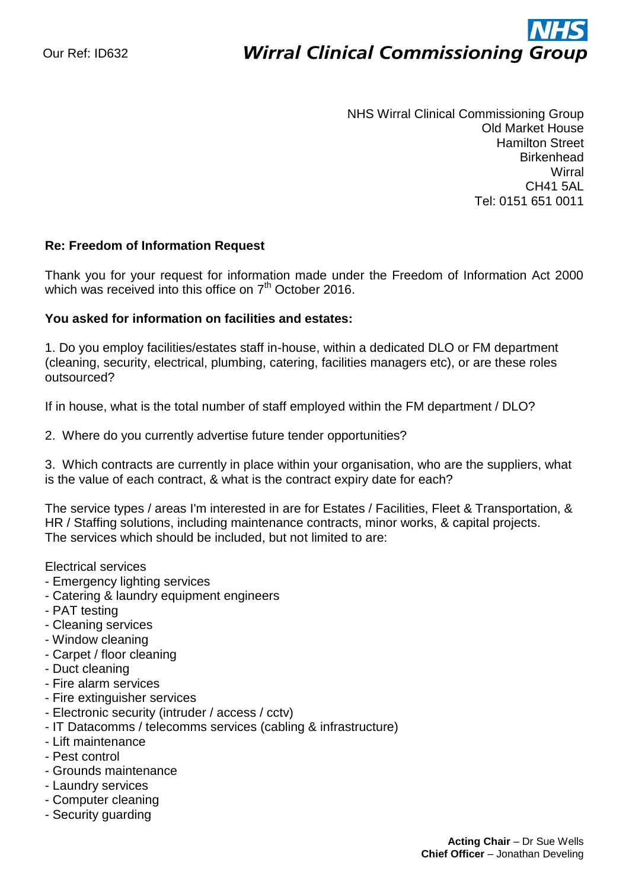# ì

NHS Wirral Clinical Commissioning Group Old Market House Hamilton Street **Birkenhead Wirral** CH41 5AL Tel: 0151 651 0011

# **Re: Freedom of Information Request**

Thank you for your request for information made under the Freedom of Information Act 2000 which was received into this office on  $7<sup>th</sup>$  October 2016.

### **You asked for information on facilities and estates:**

1. Do you employ facilities/estates staff in-house, within a dedicated DLO or FM department (cleaning, security, electrical, plumbing, catering, facilities managers etc), or are these roles outsourced?

If in house, what is the total number of staff employed within the FM department / DLO?

2. Where do you currently advertise future tender opportunities?

3. Which contracts are currently in place within your organisation, who are the suppliers, what is the value of each contract, & what is the contract expiry date for each?

The service types / areas I'm interested in are for Estates / Facilities, Fleet & Transportation, & HR / Staffing solutions, including maintenance contracts, minor works, & capital projects. The services which should be included, but not limited to are:

Electrical services

- Emergency lighting services
- Catering & laundry equipment engineers
- PAT testing
- Cleaning services
- Window cleaning
- Carpet / floor cleaning
- Duct cleaning
- Fire alarm services
- Fire extinguisher services
- Electronic security (intruder / access / cctv)
- IT Datacomms / telecomms services (cabling & infrastructure)
- Lift maintenance
- Pest control
- Grounds maintenance
- Laundry services
- Computer cleaning
- Security guarding